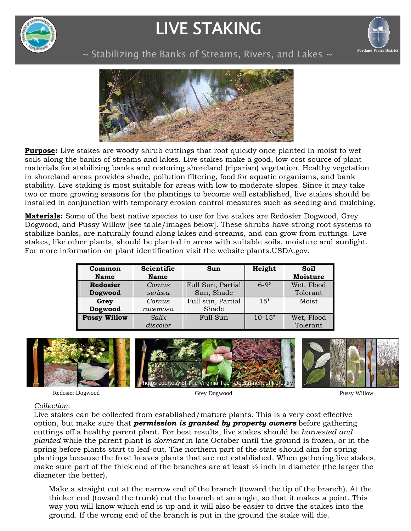

# LIVE STAKING



~ Stabilizing the Banks of Streams, Rivers, and Lakes ~ **Portland Water Distric** 



**Purpose:** Live stakes are woody shrub cuttings that root quickly once planted in moist to wet soils along the banks of streams and lakes. Live stakes make a good, low-cost source of plant materials for stabilizing banks and restoring shoreland (riparian) vegetation. Healthy vegetation in shoreland areas provides shade, pollution filtering, food for aquatic organisms, and bank stability. Live staking is most suitable for areas with low to moderate slopes. Since it may take two or more growing seasons for the plantings to become well established, live stakes should be installed in conjunction with temporary erosion control measures such as seeding and mulching.

**Materials:** Some of the best native species to use for live stakes are Redosier Dogwood, Grey Dogwood, and Pussy Willow [see table/images below]. These shrubs have strong root systems to stabilize banks, are naturally found along lakes and streams, and can grow from cuttings. Live stakes, like other plants, should be planted in areas with suitable soils, moisture and sunlight. For more information on plant identification visit the website plants.USDA.gov.

| Common              | <b>Scientific</b> | Sun               | Height     | Soil            |
|---------------------|-------------------|-------------------|------------|-----------------|
| <b>Name</b>         | <b>Name</b>       |                   |            | <b>Moisture</b> |
| <b>Redosier</b>     | Cornus            | Full Sun, Partial | $6-9'$     | Wet, Flood      |
| Dogwood             | sericea           | Sun, Shade        |            | Tolerant        |
| Grey                | Cornus            | Full sun, Partial | 15'        | Moist           |
| Dogwood             | racemosa          | Shade             |            |                 |
| <b>Pussy Willow</b> | Salix.            | Full Sun          | $10 - 15'$ | Wet, Flood      |
|                     | discolor          |                   |            | Tolerant        |



Redosier Dogwood

Grey Dogwood Pussy Willow

### *Collection*:

Live stakes can be collected from established/mature plants. This is a very cost effective option, but make sure that *permission is granted by property owners* before gathering cuttings off a healthy parent plant. For best results, live stakes should be *harvested and planted* while the parent plant is *dormant* in late October until the ground is frozen, or in the spring before plants start to leaf-out. The northern part of the state should aim for spring plantings because the frost heaves plants that are not established. When gathering live stakes, make sure part of the thick end of the branches are at least ½ inch in diameter (the larger the diameter the better).

Make a straight cut at the narrow end of the branch (toward the tip of the branch). At the thicker end (toward the trunk) cut the branch at an angle, so that it makes a point. This way you will know which end is up and it will also be easier to drive the stakes into the ground. If the wrong end of the branch is put in the ground the stake will die.